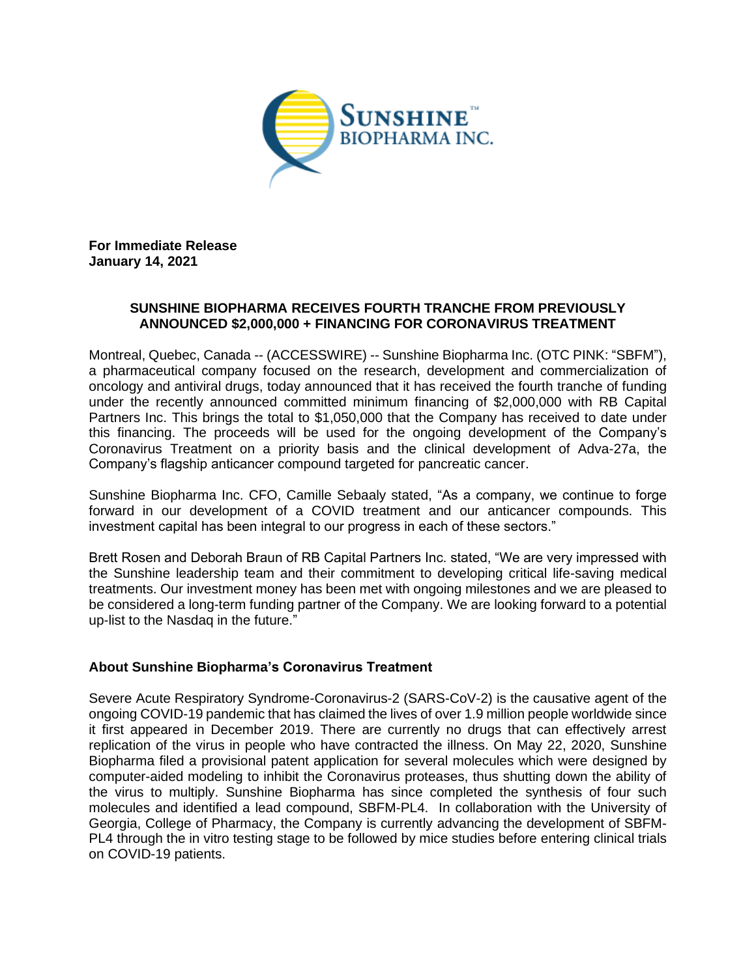

**For Immediate Release January 14, 2021**

## **SUNSHINE BIOPHARMA RECEIVES FOURTH TRANCHE FROM PREVIOUSLY ANNOUNCED \$2,000,000 + FINANCING FOR CORONAVIRUS TREATMENT**

Montreal, Quebec, Canada -- (ACCESSWIRE) -- Sunshine Biopharma Inc. (OTC PINK: "SBFM"), a pharmaceutical company focused on the research, development and commercialization of oncology and antiviral drugs, today announced that it has received the fourth tranche of funding under the recently announced committed minimum financing of \$2,000,000 with RB Capital Partners Inc. This brings the total to \$1,050,000 that the Company has received to date under this financing. The proceeds will be used for the ongoing development of the Company's Coronavirus Treatment on a priority basis and the clinical development of Adva-27a, the Company's flagship anticancer compound targeted for pancreatic cancer.

Sunshine Biopharma Inc. CFO, Camille Sebaaly stated, "As a company, we continue to forge forward in our development of a COVID treatment and our anticancer compounds. This investment capital has been integral to our progress in each of these sectors."

Brett Rosen and Deborah Braun of RB Capital Partners Inc. stated, "We are very impressed with the Sunshine leadership team and their commitment to developing critical life-saving medical treatments. Our investment money has been met with ongoing milestones and we are pleased to be considered a long-term funding partner of the Company. We are looking forward to a potential up-list to the Nasdaq in the future."

## **About Sunshine Biopharma's Coronavirus Treatment**

Severe Acute Respiratory Syndrome-Coronavirus-2 (SARS-CoV-2) is the causative agent of the ongoing COVID-19 pandemic that has claimed the lives of over 1.9 million people worldwide since it first appeared in December 2019. There are currently no drugs that can effectively arrest replication of the virus in people who have contracted the illness. On May 22, 2020, Sunshine Biopharma filed a provisional patent application for several molecules which were designed by computer-aided modeling to inhibit the Coronavirus proteases, thus shutting down the ability of the virus to multiply. Sunshine Biopharma has since completed the synthesis of four such molecules and identified a lead compound, SBFM-PL4. In collaboration with the University of Georgia, College of Pharmacy, the Company is currently advancing the development of SBFM-PL4 through the in vitro testing stage to be followed by mice studies before entering clinical trials on COVID-19 patients.